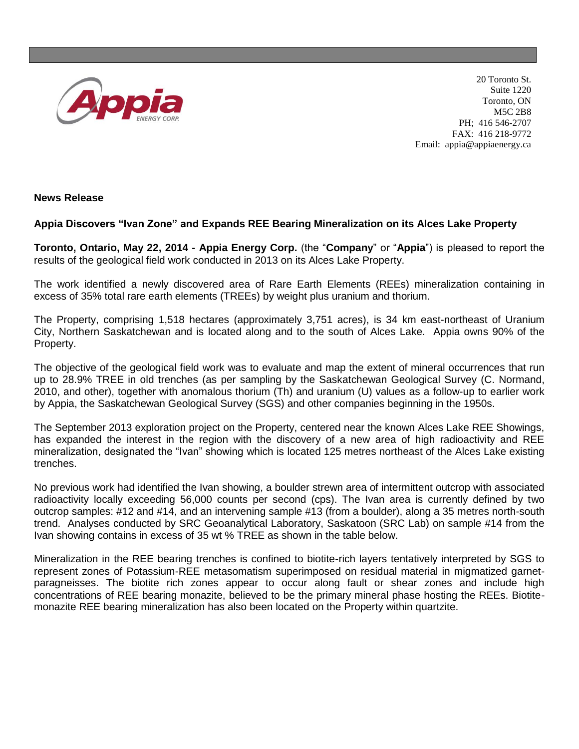

20 Toronto St. Suite 1220 Toronto, ON M5C 2B8 PH; 416 546-2707 FAX: 416 218-9772 Email: appia@appiaenergy.ca

**News Release** 

## **Appia Discovers "Ivan Zone" and Expands REE Bearing Mineralization on its Alces Lake Property**

**Toronto, Ontario, May 22, 2014 - Appia Energy Corp.** (the "**Company**" or "**Appia**") is pleased to report the results of the geological field work conducted in 2013 on its Alces Lake Property.

The work identified a newly discovered area of Rare Earth Elements (REEs) mineralization containing in excess of 35% total rare earth elements (TREEs) by weight plus uranium and thorium.

The Property, comprising 1,518 hectares (approximately 3,751 acres), is 34 km east-northeast of Uranium City, Northern Saskatchewan and is located along and to the south of Alces Lake. Appia owns 90% of the Property.

The objective of the geological field work was to evaluate and map the extent of mineral occurrences that run up to 28.9% TREE in old trenches (as per sampling by the Saskatchewan Geological Survey (C. Normand, 2010, and other), together with anomalous thorium (Th) and uranium (U) values as a follow-up to earlier work by Appia, the Saskatchewan Geological Survey (SGS) and other companies beginning in the 1950s.

The September 2013 exploration project on the Property, centered near the known Alces Lake REE Showings, has expanded the interest in the region with the discovery of a new area of high radioactivity and REE mineralization, designated the "Ivan" showing which is located 125 metres northeast of the Alces Lake existing trenches.

No previous work had identified the Ivan showing, a boulder strewn area of intermittent outcrop with associated radioactivity locally exceeding 56,000 counts per second (cps). The Ivan area is currently defined by two outcrop samples: #12 and #14, and an intervening sample #13 (from a boulder), along a 35 metres north-south trend. Analyses conducted by SRC Geoanalytical Laboratory, Saskatoon (SRC Lab) on sample #14 from the Ivan showing contains in excess of 35 wt % TREE as shown in the table below.

Mineralization in the REE bearing trenches is confined to biotite-rich layers tentatively interpreted by SGS to represent zones of Potassium-REE metasomatism superimposed on residual material in migmatized garnetparagneisses. The biotite rich zones appear to occur along fault or shear zones and include high concentrations of REE bearing monazite, believed to be the primary mineral phase hosting the REEs. Biotitemonazite REE bearing mineralization has also been located on the Property within quartzite.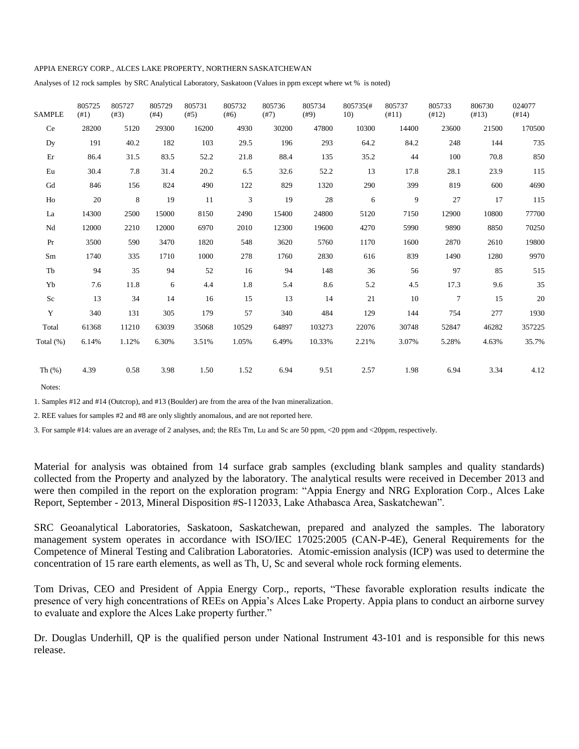## APPIA ENERGY CORP., ALCES LAKE PROPERTY, NORTHERN SASKATCHEWAN

Analyses of 12 rock samples by SRC Analytical Laboratory, Saskatoon (Values in ppm except where wt % is noted)

| <b>SAMPLE</b> | 805725<br>(41) | 805727<br>(#3) | 805729<br>(#4) | 805731<br>(#5) | 805732<br>(#6) | 805736<br>(#7) | 805734<br>(#9) | 805735(#<br>10) | 805737<br>(#11) | 805733<br>(412) | 806730<br>(413) | 024077<br>(#14) |
|---------------|----------------|----------------|----------------|----------------|----------------|----------------|----------------|-----------------|-----------------|-----------------|-----------------|-----------------|
| Ce            | 28200          | 5120           | 29300          | 16200          | 4930           | 30200          | 47800          | 10300           | 14400           | 23600           | 21500           | 170500          |
| Dy            | 191            | 40.2           | 182            | 103            | 29.5           | 196            | 293            | 64.2            | 84.2            | 248             | 144             | 735             |
| Er            | 86.4           | 31.5           | 83.5           | 52.2           | 21.8           | 88.4           | 135            | 35.2            | 44              | 100             | 70.8            | 850             |
| Eu            | 30.4           | 7.8            | 31.4           | 20.2           | 6.5            | 32.6           | 52.2           | 13              | 17.8            | 28.1            | 23.9            | 115             |
| Gd            | 846            | 156            | 824            | 490            | 122            | 829            | 1320           | 290             | 399             | 819             | 600             | 4690            |
| Ho            | 20             | 8              | 19             | 11             | 3              | 19             | 28             | 6               | 9               | 27              | 17              | 115             |
| La            | 14300          | 2500           | 15000          | 8150           | 2490           | 15400          | 24800          | 5120            | 7150            | 12900           | 10800           | 77700           |
| Nd            | 12000          | 2210           | 12000          | 6970           | 2010           | 12300          | 19600          | 4270            | 5990            | 9890            | 8850            | 70250           |
| Pr            | 3500           | 590            | 3470           | 1820           | 548            | 3620           | 5760           | 1170            | 1600            | 2870            | 2610            | 19800           |
| Sm            | 1740           | 335            | 1710           | 1000           | 278            | 1760           | 2830           | 616             | 839             | 1490            | 1280            | 9970            |
| Tb            | 94             | 35             | 94             | 52             | 16             | 94             | 148            | 36              | 56              | 97              | 85              | 515             |
| Yb            | 7.6            | 11.8           | 6              | 4.4            | 1.8            | 5.4            | 8.6            | 5.2             | 4.5             | 17.3            | 9.6             | 35              |
| Sc            | 13             | 34             | 14             | 16             | 15             | 13             | 14             | 21              | 10              | $\tau$          | 15              | 20              |
| Y             | 340            | 131            | 305            | 179            | 57             | 340            | 484            | 129             | 144             | 754             | 277             | 1930            |
| Total         | 61368          | 11210          | 63039          | 35068          | 10529          | 64897          | 103273         | 22076           | 30748           | 52847           | 46282           | 357225          |
| Total $(\%)$  | 6.14%          | 1.12%          | 6.30%          | 3.51%          | 1.05%          | 6.49%          | 10.33%         | 2.21%           | 3.07%           | 5.28%           | 4.63%           | 35.7%           |
| Th $(%)$      | 4.39           | 0.58           | 3.98           | 1.50           | 1.52           | 6.94           | 9.51           | 2.57            | 1.98            | 6.94            | 3.34            | 4.12            |

Notes:

1. Samples #12 and #14 (Outcrop), and #13 (Boulder) are from the area of the Ivan mineralization.

2. REE values for samples #2 and #8 are only slightly anomalous, and are not reported here.

3. For sample #14: values are an average of 2 analyses, and; the REs Tm, Lu and Sc are 50 ppm, <20 ppm and <20ppm, respectively.

Material for analysis was obtained from 14 surface grab samples (excluding blank samples and quality standards) collected from the Property and analyzed by the laboratory. The analytical results were received in December 2013 and were then compiled in the report on the exploration program: "Appia Energy and NRG Exploration Corp., Alces Lake Report, September - 2013, Mineral Disposition #S-112033, Lake Athabasca Area, Saskatchewan".

SRC Geoanalytical Laboratories, Saskatoon, Saskatchewan, prepared and analyzed the samples. The laboratory management system operates in accordance with ISO/IEC 17025:2005 (CAN-P-4E), General Requirements for the Competence of Mineral Testing and Calibration Laboratories. Atomic-emission analysis (ICP) was used to determine the concentration of 15 rare earth elements, as well as Th, U, Sc and several whole rock forming elements.

Tom Drivas, CEO and President of Appia Energy Corp., reports, "These favorable exploration results indicate the presence of very high concentrations of REEs on Appia's Alces Lake Property. Appia plans to conduct an airborne survey to evaluate and explore the Alces Lake property further."

Dr. Douglas Underhill, QP is the qualified person under National Instrument 43-101 and is responsible for this news release